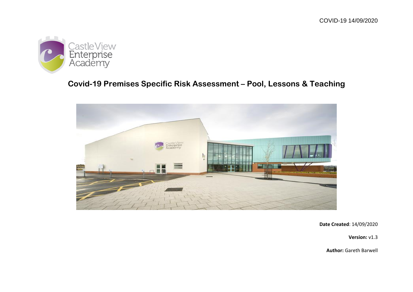

# **Covid-19 Premises Specific Risk Assessment – Pool, Lessons & Teaching**



**Date Created**: 14/09/2020

**Version:** v1.3

**Author:** Gareth Barwell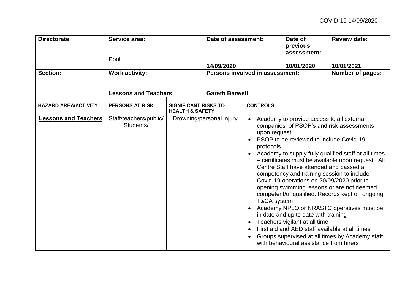| <b>Directorate:</b>         | Service area:<br>Pool                                 |                                                           | Date of assessment:<br>14/09/2020 |                                          | Date of<br>previous<br>assessment:<br>10/01/2020                                                                                                                                                                                                                                                                                                                                                  | <b>Review date:</b><br>10/01/2021                                                                                                                                                                                                                                                                                                                      |
|-----------------------------|-------------------------------------------------------|-----------------------------------------------------------|-----------------------------------|------------------------------------------|---------------------------------------------------------------------------------------------------------------------------------------------------------------------------------------------------------------------------------------------------------------------------------------------------------------------------------------------------------------------------------------------------|--------------------------------------------------------------------------------------------------------------------------------------------------------------------------------------------------------------------------------------------------------------------------------------------------------------------------------------------------------|
| Section:                    | <b>Work activity:</b>                                 |                                                           |                                   | Persons involved in assessment:          |                                                                                                                                                                                                                                                                                                                                                                                                   | <b>Number of pages:</b>                                                                                                                                                                                                                                                                                                                                |
| <b>HAZARD AREA/ACTIVITY</b> | <b>Lessons and Teachers</b><br><b>PERSONS AT RISK</b> | <b>SIGNIFICANT RISKS TO</b><br><b>HEALTH &amp; SAFETY</b> | <b>Gareth Barwell</b>             | <b>CONTROLS</b>                          |                                                                                                                                                                                                                                                                                                                                                                                                   |                                                                                                                                                                                                                                                                                                                                                        |
| <b>Lessons and Teachers</b> | Staff/teachers/public/<br>Students/                   |                                                           | Drowning/personal injury          | upon request<br>protocols<br>T&CA system | Academy to provide access to all external<br>PSOP to be reviewed to include Covid-19<br>Centre Staff have attended and passed a<br>competency and training session to include<br>Covid-19 operations on 20/09/2020 prior to<br>in date and up to date with training<br>Teachers vigilant at all time<br>First aid and AED staff available at all times<br>with behavioural assistance from hirers | companies of PSOP's and risk assessments<br>Academy to supply fully qualified staff at all times<br>- certificates must be available upon request. All<br>opening swimming lessons or are not deemed<br>competent/unqualified. Records kept on ongoing<br>Academy NPLQ or NRASTC operatives must be<br>Groups supervised at all times by Academy staff |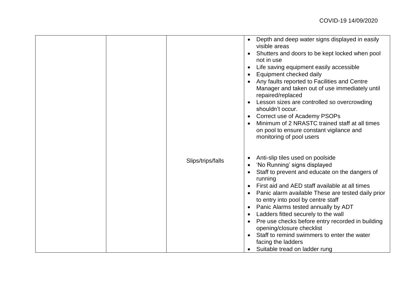|                   | Depth and deep water signs displayed in easily<br>$\bullet$<br>visible areas<br>Shutters and doors to be kept locked when pool<br>not in use<br>Life saving equipment easily accessible<br>Equipment checked daily<br>Any faults reported to Facilities and Centre<br>Manager and taken out of use immediately until<br>repaired/replaced<br>Lesson sizes are controlled so overcrowding<br>shouldn't occur.<br>Correct use of Academy PSOPs<br>Minimum of 2 NRASTC trained staff at all times<br>on pool to ensure constant vigilance and<br>monitoring of pool users     |
|-------------------|----------------------------------------------------------------------------------------------------------------------------------------------------------------------------------------------------------------------------------------------------------------------------------------------------------------------------------------------------------------------------------------------------------------------------------------------------------------------------------------------------------------------------------------------------------------------------|
| Slips/trips/falls | Anti-slip tiles used on poolside<br>$\bullet$<br>'No Running' signs displayed<br>Staff to prevent and educate on the dangers of<br>running<br>First aid and AED staff available at all times<br>Panic alarm available These are tested daily prior<br>$\bullet$<br>to entry into pool by centre staff<br>Panic Alarms tested annually by ADT<br>Ladders fitted securely to the wall<br>Pre use checks before entry recorded in building<br>opening/closure checklist<br>Staff to remind swimmers to enter the water<br>facing the ladders<br>Suitable tread on ladder rung |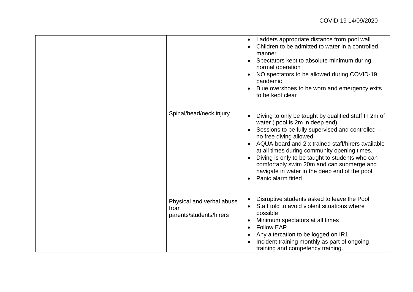|                                                              | Ladders appropriate distance from pool wall<br>$\bullet$<br>Children to be admitted to water in a controlled<br>manner<br>Spectators kept to absolute minimum during<br>normal operation<br>NO spectators to be allowed during COVID-19<br>pandemic<br>Blue overshoes to be worn and emergency exits<br>to be kept clear                                                                                                                         |
|--------------------------------------------------------------|--------------------------------------------------------------------------------------------------------------------------------------------------------------------------------------------------------------------------------------------------------------------------------------------------------------------------------------------------------------------------------------------------------------------------------------------------|
| Spinal/head/neck injury                                      | Diving to only be taught by qualified staff In 2m of<br>water (pool is 2m in deep end)<br>Sessions to be fully supervised and controlled -<br>no free diving allowed<br>AQUA-board and 2 x trained staff/hirers available<br>at all times during community opening times.<br>Diving is only to be taught to students who can<br>comfortably swim 20m and can submerge and<br>navigate in water in the deep end of the pool<br>Panic alarm fitted |
| Physical and verbal abuse<br>from<br>parents/students/hirers | Disruptive students asked to leave the Pool<br>Staff told to avoid violent situations where<br>possible<br>Minimum spectators at all times<br><b>Follow EAP</b><br>$\bullet$<br>Any altercation to be logged on IR1<br>Incident training monthly as part of ongoing<br>training and competency training.                                                                                                                                         |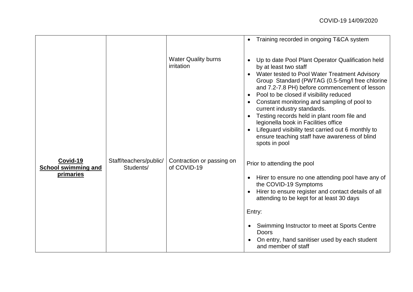|                                                            |                                     |                                          | Training recorded in ongoing T&CA system                                                                                                                                                                                                                                                                                                                                                                                                                                                                                                                               |
|------------------------------------------------------------|-------------------------------------|------------------------------------------|------------------------------------------------------------------------------------------------------------------------------------------------------------------------------------------------------------------------------------------------------------------------------------------------------------------------------------------------------------------------------------------------------------------------------------------------------------------------------------------------------------------------------------------------------------------------|
|                                                            |                                     | <b>Water Quality burns</b><br>irritation | Up to date Pool Plant Operator Qualification held<br>by at least two staff<br>Water tested to Pool Water Treatment Advisory<br>Group Standard (PWTAG (0.5-5mg/l free chlorine<br>and 7.2-7.8 PH) before commencement of lesson<br>Pool to be closed if visibility reduced<br>Constant monitoring and sampling of pool to<br>current industry standards.<br>Testing records held in plant room file and<br>legionella book in Facilities office<br>Lifeguard visibility test carried out 6 monthly to<br>ensure teaching staff have awareness of blind<br>spots in pool |
| Covid-19<br><b>School swimming and</b><br><u>primaries</u> | Staff/teachers/public/<br>Students/ | Contraction or passing on<br>of COVID-19 | Prior to attending the pool<br>Hirer to ensure no one attending pool have any of<br>the COVID-19 Symptoms<br>Hirer to ensure register and contact details of all<br>attending to be kept for at least 30 days<br>Entry:<br>Swimming Instructor to meet at Sports Centre<br><b>Doors</b><br>On entry, hand sanitiser used by each student<br>and member of staff                                                                                                                                                                                                        |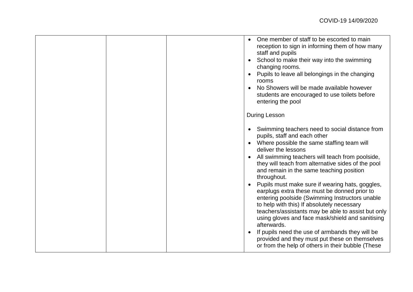|  | One member of staff to be escorted to main<br>reception to sign in informing them of how many<br>staff and pupils<br>School to make their way into the swimming<br>$\bullet$<br>changing rooms.<br>Pupils to leave all belongings in the changing<br>rooms<br>No Showers will be made available however<br>students are encouraged to use toilets before<br>entering the pool<br><b>During Lesson</b><br>Swimming teachers need to social distance from<br>$\bullet$<br>pupils, staff and each other<br>Where possible the same staffing team will<br>deliver the lessons<br>All swimming teachers will teach from poolside,<br>they will teach from alternative sides of the pool<br>and remain in the same teaching position<br>throughout.<br>Pupils must make sure if wearing hats, goggles,<br>earplugs extra these must be donned prior to<br>entering poolside (Swimming Instructors unable<br>to help with this) If absolutely necessary<br>teachers/assistants may be able to assist but only<br>using gloves and face mask/shield and sanitising<br>afterwards.<br>If pupils need the use of armbands they will be<br>provided and they must put these on themselves |
|--|--------------------------------------------------------------------------------------------------------------------------------------------------------------------------------------------------------------------------------------------------------------------------------------------------------------------------------------------------------------------------------------------------------------------------------------------------------------------------------------------------------------------------------------------------------------------------------------------------------------------------------------------------------------------------------------------------------------------------------------------------------------------------------------------------------------------------------------------------------------------------------------------------------------------------------------------------------------------------------------------------------------------------------------------------------------------------------------------------------------------------------------------------------------------------------|
|  | or from the help of others in their bubble (These                                                                                                                                                                                                                                                                                                                                                                                                                                                                                                                                                                                                                                                                                                                                                                                                                                                                                                                                                                                                                                                                                                                              |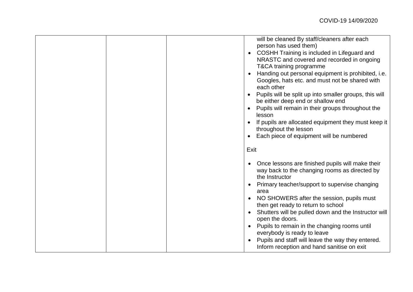| will be cleaned By staff/cleaners after each<br>person has used them)<br>COSHH Training is included in Lifeguard and<br>NRASTC and covered and recorded in ongoing<br>T&CA training programme<br>Handing out personal equipment is prohibited, i.e.<br>Googles, hats etc. and must not be shared with<br>each other<br>Pupils will be split up into smaller groups, this will<br>be either deep end or shallow end<br>Pupils will remain in their groups throughout the<br>lesson<br>If pupils are allocated equipment they must keep it<br>throughout the lesson<br>Each piece of equipment will be numbered |
|---------------------------------------------------------------------------------------------------------------------------------------------------------------------------------------------------------------------------------------------------------------------------------------------------------------------------------------------------------------------------------------------------------------------------------------------------------------------------------------------------------------------------------------------------------------------------------------------------------------|
| Exit<br>Once lessons are finished pupils will make their<br>way back to the changing rooms as directed by<br>the Instructor<br>Primary teacher/support to supervise changing<br>area                                                                                                                                                                                                                                                                                                                                                                                                                          |
| NO SHOWERS after the session, pupils must<br>then get ready to return to school<br>Shutters will be pulled down and the Instructor will<br>open the doors.<br>Pupils to remain in the changing rooms until<br>everybody is ready to leave<br>Pupils and staff will leave the way they entered.<br>Inform reception and hand sanitise on exit                                                                                                                                                                                                                                                                  |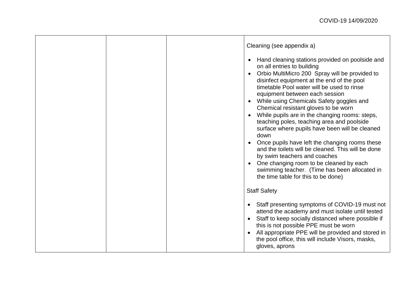|  | Cleaning (see appendix a)<br>Hand cleaning stations provided on poolside and<br>$\bullet$<br>on all entries to building<br>Orbio MultiMicro 200 Spray will be provided to<br>$\bullet$<br>disinfect equipment at the end of the pool<br>timetable Pool water will be used to rinse<br>equipment between each session<br>While using Chemicals Safety goggles and<br>Chemical resistant gloves to be worn<br>While pupils are in the changing rooms: steps,<br>teaching poles, teaching area and poolside<br>surface where pupils have been will be cleaned<br>down<br>Once pupils have left the changing rooms these<br>and the toilets will be cleaned. This will be done<br>by swim teachers and coaches<br>One changing room to be cleaned by each<br>swimming teacher. (Time has been allocated in<br>the time table for this to be done)<br><b>Staff Safety</b><br>Staff presenting symptoms of COVID-19 must not<br>attend the academy and must isolate until tested<br>Staff to keep socially distanced where possible if<br>this is not possible PPE must be worn<br>All appropriate PPE will be provided and stored in<br>the pool office, this will include Visors, masks, |
|--|--------------------------------------------------------------------------------------------------------------------------------------------------------------------------------------------------------------------------------------------------------------------------------------------------------------------------------------------------------------------------------------------------------------------------------------------------------------------------------------------------------------------------------------------------------------------------------------------------------------------------------------------------------------------------------------------------------------------------------------------------------------------------------------------------------------------------------------------------------------------------------------------------------------------------------------------------------------------------------------------------------------------------------------------------------------------------------------------------------------------------------------------------------------------------------------|
|  | gloves, aprons                                                                                                                                                                                                                                                                                                                                                                                                                                                                                                                                                                                                                                                                                                                                                                                                                                                                                                                                                                                                                                                                                                                                                                       |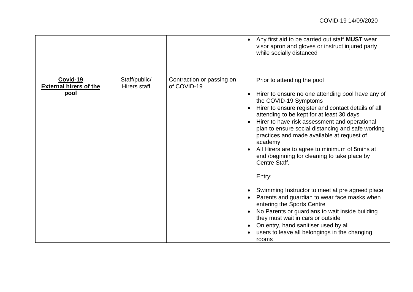|                                                          |                               |                                          | Any first aid to be carried out staff MUST wear<br>visor apron and gloves or instruct injured party<br>while socially distanced                                                                                                                                                                                                                                                                                                                                                                                                                                                                                                                                                                                                                                                                                                      |
|----------------------------------------------------------|-------------------------------|------------------------------------------|--------------------------------------------------------------------------------------------------------------------------------------------------------------------------------------------------------------------------------------------------------------------------------------------------------------------------------------------------------------------------------------------------------------------------------------------------------------------------------------------------------------------------------------------------------------------------------------------------------------------------------------------------------------------------------------------------------------------------------------------------------------------------------------------------------------------------------------|
| Covid-19<br><b>External hirers of the</b><br><u>pool</u> | Staff/public/<br>Hirers staff | Contraction or passing on<br>of COVID-19 | Prior to attending the pool<br>Hirer to ensure no one attending pool have any of<br>the COVID-19 Symptoms<br>Hirer to ensure register and contact details of all<br>attending to be kept for at least 30 days<br>Hirer to have risk assessment and operational<br>plan to ensure social distancing and safe working<br>practices and made available at request of<br>academy<br>All Hirers are to agree to minimum of 5mins at<br>end /beginning for cleaning to take place by<br>Centre Staff.<br>Entry:<br>Swimming Instructor to meet at pre agreed place<br>Parents and guardian to wear face masks when<br>entering the Sports Centre<br>No Parents or guardians to wait inside building<br>they must wait in cars or outside<br>On entry, hand sanitiser used by all<br>users to leave all belongings in the changing<br>rooms |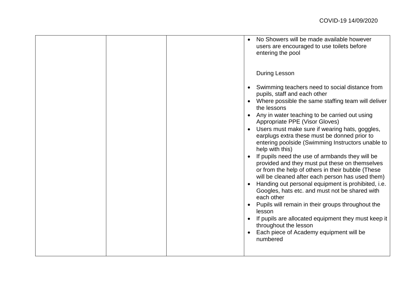|  | No Showers will be made available however<br>users are encouraged to use toilets before<br>entering the pool                                                                                               |
|--|------------------------------------------------------------------------------------------------------------------------------------------------------------------------------------------------------------|
|  | <b>During Lesson</b>                                                                                                                                                                                       |
|  | Swimming teachers need to social distance from<br>pupils, staff and each other<br>Where possible the same staffing team will deliver<br>the lessons                                                        |
|  | Any in water teaching to be carried out using<br>Appropriate PPE (Visor Gloves)<br>Users must make sure if wearing hats, goggles,                                                                          |
|  | earplugs extra these must be donned prior to<br>entering poolside (Swimming Instructors unable to<br>help with this)                                                                                       |
|  | If pupils need the use of armbands they will be<br>provided and they must put these on themselves<br>or from the help of others in their bubble (These<br>will be cleaned after each person has used them) |
|  | Handing out personal equipment is prohibited, i.e.<br>Googles, hats etc. and must not be shared with<br>each other                                                                                         |
|  | Pupils will remain in their groups throughout the<br>lesson                                                                                                                                                |
|  | If pupils are allocated equipment they must keep it<br>throughout the lesson                                                                                                                               |
|  | Each piece of Academy equipment will be<br>numbered                                                                                                                                                        |
|  |                                                                                                                                                                                                            |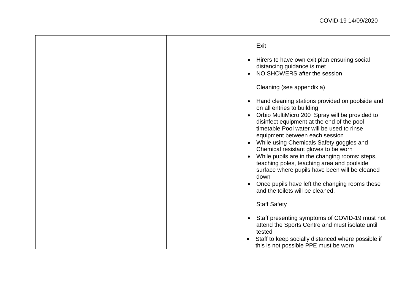|  | Exit<br>Hirers to have own exit plan ensuring social                                                                                                                         |
|--|------------------------------------------------------------------------------------------------------------------------------------------------------------------------------|
|  | distancing guidance is met<br>NO SHOWERS after the session                                                                                                                   |
|  | Cleaning (see appendix a)                                                                                                                                                    |
|  | Hand cleaning stations provided on poolside and<br>on all entries to building                                                                                                |
|  | Orbio MultiMicro 200 Spray will be provided to<br>disinfect equipment at the end of the pool<br>timetable Pool water will be used to rinse<br>equipment between each session |
|  | While using Chemicals Safety goggles and<br>Chemical resistant gloves to be worn                                                                                             |
|  | While pupils are in the changing rooms: steps,<br>teaching poles, teaching area and poolside<br>surface where pupils have been will be cleaned<br>down                       |
|  | Once pupils have left the changing rooms these<br>and the toilets will be cleaned.                                                                                           |
|  | <b>Staff Safety</b>                                                                                                                                                          |
|  | Staff presenting symptoms of COVID-19 must not<br>attend the Sports Centre and must isolate until<br>tested                                                                  |
|  | Staff to keep socially distanced where possible if<br>this is not possible PPE must be worn                                                                                  |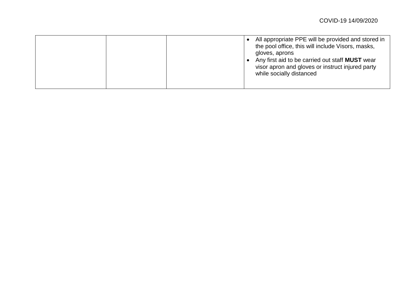|  | All appropriate PPE will be provided and stored in<br>the pool office, this will include Visors, masks,<br>gloves, aprons<br>Any first aid to be carried out staff <b>MUST</b> wear<br>visor apron and gloves or instruct injured party<br>while socially distanced |
|--|---------------------------------------------------------------------------------------------------------------------------------------------------------------------------------------------------------------------------------------------------------------------|
|--|---------------------------------------------------------------------------------------------------------------------------------------------------------------------------------------------------------------------------------------------------------------------|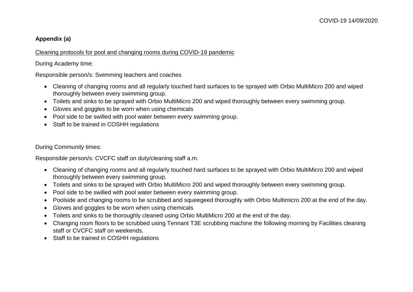## **Appendix (a)**

#### Cleaning protocols for pool and changing rooms during COVID-19 pandemic

During Academy time:

Responsible person/s: Swimming teachers and coaches

- Cleaning of changing rooms and all regularly touched hard surfaces to be sprayed with Orbio MultiMicro 200 and wiped thoroughly between every swimming group.
- Toilets and sinks to be sprayed with Orbio MultiMicro 200 and wiped thoroughly between every swimming group.
- Gloves and goggles to be worn when using chemicals
- Pool side to be swilled with pool water between every swimming group.
- Staff to be trained in COSHH regulations

During Community times:

Responsible person/s: CVCFC staff on duty/cleaning staff a.m.

- Cleaning of changing rooms and all regularly touched hard surfaces to be sprayed with Orbio MultiMicro 200 and wiped thoroughly between every swimming group.
- Toilets and sinks to be sprayed with Orbio MultiMicro 200 and wiped thoroughly between every swimming group.
- Pool side to be swilled with pool water between every swimming group.
- Poolside and changing rooms to be scrubbed and squeegeed thoroughly with Orbio Multimicro 200 at the end of the day.
- Gloves and goggles to be worn when using chemicals
- Toilets and sinks to be thoroughly cleaned using Orbio MultiMicro 200 at the end of the day.
- Changing room floors to be scrubbed using Tennant T3E scrubbing machine the following morning by Facilities cleaning staff or CVCFC staff on weekends.
- Staff to be trained in COSHH regulations